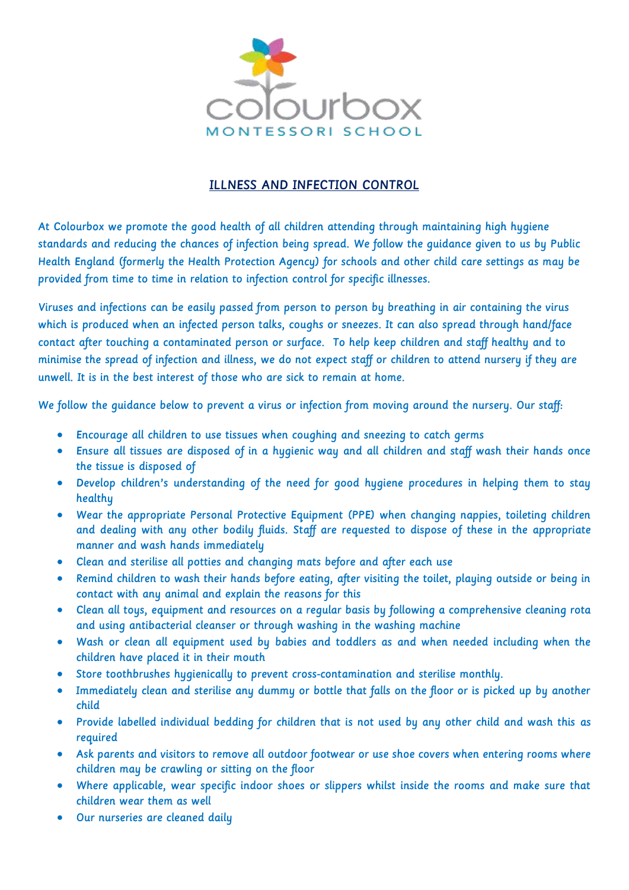

# ILLNESS AND INFECTION CONTROL

At Colourbox we promote the good health of all children attending through maintaining high hygiene standards and reducing the chances of infection being spread. We follow the guidance given to us by Public Health England (formerly the Health Protection Agency) for schools and other child care settings as may be provided from time to time in relation to infection control for specific illnesses.

Viruses and infections can be easily passed from person to person by breathing in air containing the virus which is produced when an infected person talks, coughs or sneezes. It can also spread through hand/face contact after touching a contaminated person or surface. To help keep children and staff healthy and to minimise the spread of infection and illness, we do not expect staff or children to attend nursery if they are unwell. It is in the best interest of those who are sick to remain at home.

We follow the quidance below to prevent a virus or infection from moving around the nursery. Our staff:

- Encourage all children to use tissues when coughing and sneezing to catch germs
- Ensure all tissues are disposed of in a hygienic way and all children and staff wash their hands once the tissue is disposed of
- Develop children's understanding of the need for good hygiene procedures in helping them to stay healthy
- Wear the appropriate Personal Protective Equipment (PPE) when changing nappies, toileting children and dealing with any other bodily fluids. Staff are requested to dispose of these in the appropriate manner and wash hands immediately
- Clean and sterilise all potties and changing mats before and after each use
- Remind children to wash their hands before eating, after visiting the toilet, playing outside or being in contact with any animal and explain the reasons for this
- Clean all toys, equipment and resources on a regular basis by following a comprehensive cleaning rota and using antibacterial cleanser or through washing in the washing machine
- Wash or clean all equipment used by babies and toddlers as and when needed including when the children have placed it in their mouth
- Store toothbrushes hygienically to prevent cross-contamination and sterilise monthly.
- Immediately clean and sterilise any dummy or bottle that falls on the floor or is picked up by another child
- Provide labelled individual bedding for children that is not used by any other child and wash this as required
- Ask parents and visitors to remove all outdoor footwear or use shoe covers when entering rooms where children may be crawling or sitting on the floor
- Where applicable, wear specific indoor shoes or slippers whilst inside the rooms and make sure that children wear them as well
- Our nurseries are cleaned daily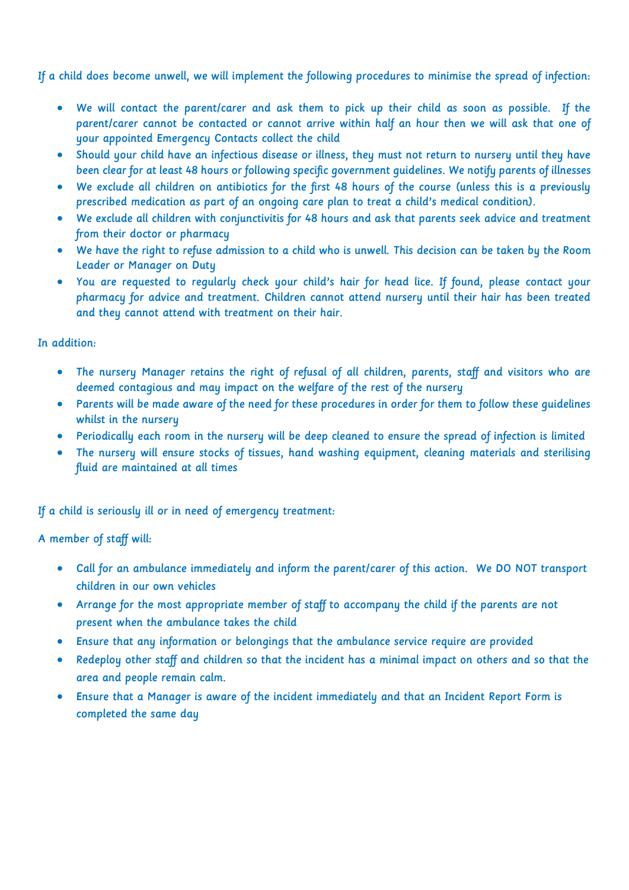If a child does become unwell, we will implement the following procedures to minimise the spread of infection:

- We will contact the parent/carer and ask them to pick up their child as soon as possible. If the parent/carer cannot be contacted or cannot arrive within half an hour then we will ask that one of your appointed Emergency Contacts collect the child
- Should your child have an infectious disease or illness, they must not return to nursery until they have been clear for at least 48 hours or following specific government guidelines. We notify parents of illnesses
- We exclude all children on antibiotics for the first 48 hours of the course (unless this is a previously prescribed medication as part of an ongoing care plan to treat a child's medical condition).
- We exclude all children with conjunctivitis for 48 hours and ask that parents seek advice and treatment from their doctor or pharmacy
- We have the right to refuse admission to a child who is unwell. This decision can be taken by the Room Leader or Manager on Duty
- You are requested to regularly check your child's hair for head lice. If found, please contact your pharmacy for advice and treatment. Children cannot attend nursery until their hair has been treated and they cannot attend with treatment on their hair.

## In addition:

- The nursery Manager retains the right of refusal of all children, parents, staff and visitors who are deemed contagious and may impact on the welfare of the rest of the nursery
- Parents will be made aware of the need for these procedures in order for them to follow these guidelines whilst in the nursery
- Periodically each room in the nursery will be deep cleaned to ensure the spread of infection is limited
- The nursery will ensure stocks of tissues, hand washing equipment, cleaning materials and sterilising fluid are maintained at all times

## If a child is seriously ill or in need of emergency treatment:

## A member of staff will:

- Call for an ambulance immediately and inform the parent/carer of this action. We DO NOT transport children in our own vehicles
- Arrange for the most appropriate member of staff to accompany the child if the parents are not present when the ambulance takes the child
- Ensure that any information or belongings that the ambulance service require are provided
- Redeploy other staff and children so that the incident has a minimal impact on others and so that the area and people remain calm.
- Ensure that a Manager is aware of the incident immediately and that an Incident Report Form is completed the same day